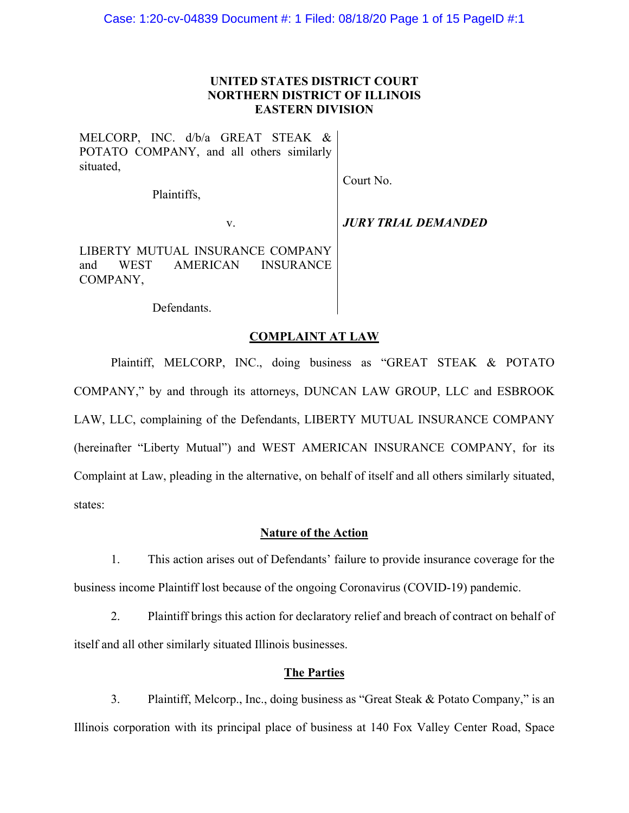## **UNITED STATES DISTRICT COURT NORTHERN DISTRICT OF ILLINOIS EASTERN DIVISION**

MELCORP, INC. d/b/a GREAT STEAK & POTATO COMPANY, and all others similarly situated,

Plaintiffs,

### v. *JURY TRIAL DEMANDED*

Court No.

LIBERTY MUTUAL INSURANCE COMPANY and WEST AMERICAN INSURANCE COMPANY,

Defendants.

### **COMPLAINT AT LAW**

Plaintiff, MELCORP, INC., doing business as "GREAT STEAK & POTATO COMPANY," by and through its attorneys, DUNCAN LAW GROUP, LLC and ESBROOK LAW, LLC, complaining of the Defendants, LIBERTY MUTUAL INSURANCE COMPANY (hereinafter "Liberty Mutual") and WEST AMERICAN INSURANCE COMPANY, for its Complaint at Law, pleading in the alternative, on behalf of itself and all others similarly situated, states:

## **Nature of the Action**

1. This action arises out of Defendants' failure to provide insurance coverage for the business income Plaintiff lost because of the ongoing Coronavirus (COVID-19) pandemic.

2. Plaintiff brings this action for declaratory relief and breach of contract on behalf of itself and all other similarly situated Illinois businesses.

### **The Parties**

3. Plaintiff, Melcorp., Inc., doing business as "Great Steak & Potato Company," is an Illinois corporation with its principal place of business at 140 Fox Valley Center Road, Space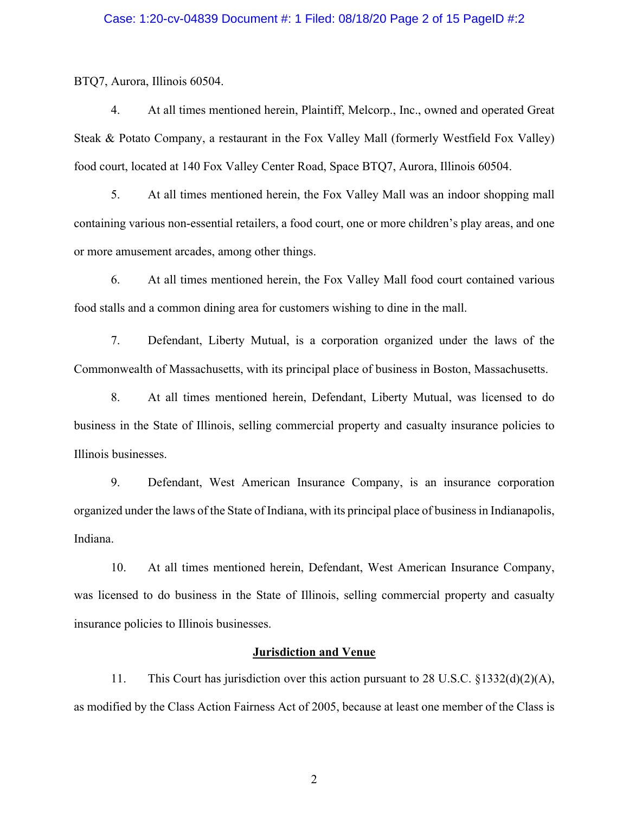#### Case: 1:20-cv-04839 Document #: 1 Filed: 08/18/20 Page 2 of 15 PageID #:2

BTQ7, Aurora, Illinois 60504.

4. At all times mentioned herein, Plaintiff, Melcorp., Inc., owned and operated Great Steak & Potato Company, a restaurant in the Fox Valley Mall (formerly Westfield Fox Valley) food court, located at 140 Fox Valley Center Road, Space BTQ7, Aurora, Illinois 60504.

5. At all times mentioned herein, the Fox Valley Mall was an indoor shopping mall containing various non-essential retailers, a food court, one or more children's play areas, and one or more amusement arcades, among other things.

6. At all times mentioned herein, the Fox Valley Mall food court contained various food stalls and a common dining area for customers wishing to dine in the mall.

7. Defendant, Liberty Mutual, is a corporation organized under the laws of the Commonwealth of Massachusetts, with its principal place of business in Boston, Massachusetts.

8. At all times mentioned herein, Defendant, Liberty Mutual, was licensed to do business in the State of Illinois, selling commercial property and casualty insurance policies to Illinois businesses.

9. Defendant, West American Insurance Company, is an insurance corporation organized under the laws of the State of Indiana, with its principal place of business in Indianapolis, Indiana.

10. At all times mentioned herein, Defendant, West American Insurance Company, was licensed to do business in the State of Illinois, selling commercial property and casualty insurance policies to Illinois businesses.

### **Jurisdiction and Venue**

11. This Court has jurisdiction over this action pursuant to 28 U.S.C. §1332(d)(2)(A), as modified by the Class Action Fairness Act of 2005, because at least one member of the Class is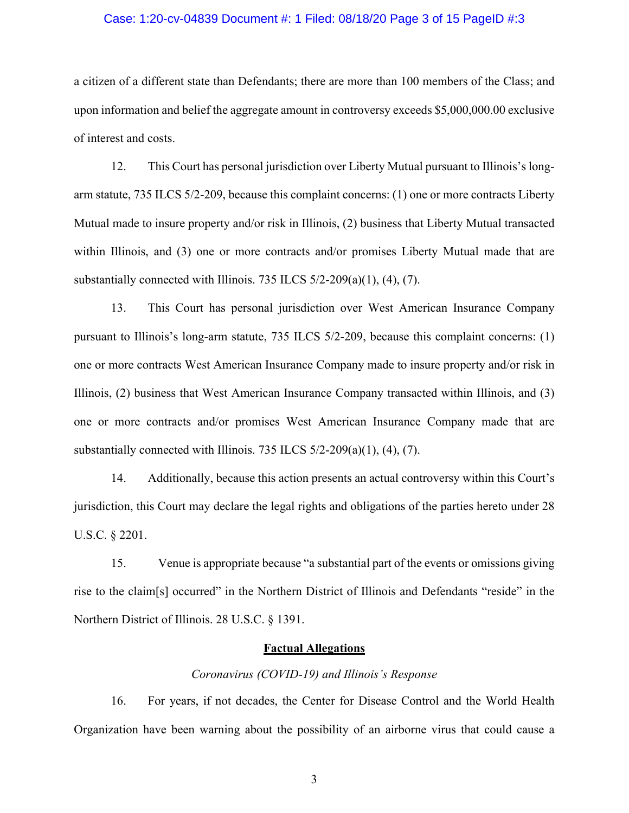#### Case: 1:20-cv-04839 Document #: 1 Filed: 08/18/20 Page 3 of 15 PageID #:3

a citizen of a different state than Defendants; there are more than 100 members of the Class; and upon information and belief the aggregate amount in controversy exceeds \$5,000,000.00 exclusive of interest and costs.

12. This Court has personal jurisdiction over Liberty Mutual pursuant to Illinois's longarm statute, 735 ILCS 5/2-209, because this complaint concerns: (1) one or more contracts Liberty Mutual made to insure property and/or risk in Illinois, (2) business that Liberty Mutual transacted within Illinois, and (3) one or more contracts and/or promises Liberty Mutual made that are substantially connected with Illinois. 735 ILCS  $5/2-209(a)(1)$ , (4), (7).

13. This Court has personal jurisdiction over West American Insurance Company pursuant to Illinois's long-arm statute, 735 ILCS 5/2-209, because this complaint concerns: (1) one or more contracts West American Insurance Company made to insure property and/or risk in Illinois, (2) business that West American Insurance Company transacted within Illinois, and (3) one or more contracts and/or promises West American Insurance Company made that are substantially connected with Illinois. 735 ILCS  $5/2-209(a)(1)$ ,  $(4)$ ,  $(7)$ .

14. Additionally, because this action presents an actual controversy within this Court's jurisdiction, this Court may declare the legal rights and obligations of the parties hereto under 28 U.S.C. § 2201.

15. Venue is appropriate because "a substantial part of the events or omissions giving rise to the claim[s] occurred" in the Northern District of Illinois and Defendants "reside" in the Northern District of Illinois. 28 U.S.C. § 1391.

#### **Factual Allegations**

### *Coronavirus (COVID-19) and Illinois's Response*

16. For years, if not decades, the Center for Disease Control and the World Health Organization have been warning about the possibility of an airborne virus that could cause a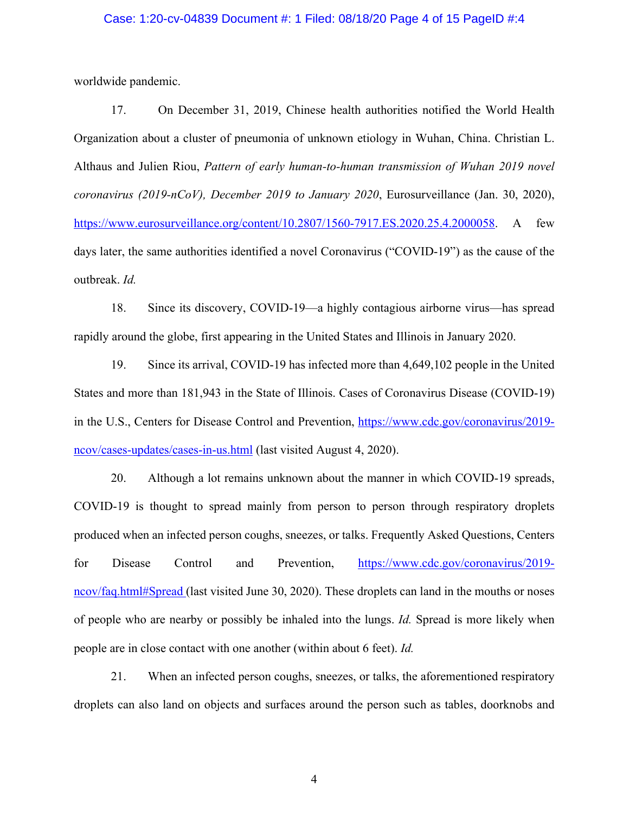#### Case: 1:20-cv-04839 Document #: 1 Filed: 08/18/20 Page 4 of 15 PageID #:4

worldwide pandemic.

17. On December 31, 2019, Chinese health authorities notified the World Health Organization about a cluster of pneumonia of unknown etiology in Wuhan, China. Christian L. Althaus and Julien Riou, *Pattern of early human-to-human transmission of Wuhan 2019 novel coronavirus (2019-nCoV), December 2019 to January 2020*, Eurosurveillance (Jan. 30, 2020), https://www.eurosurveillance.org/content/10.2807/1560-7917.ES.2020.25.4.2000058. A few days later, the same authorities identified a novel Coronavirus ("COVID-19") as the cause of the outbreak. *Id.*

18. Since its discovery, COVID-19—a highly contagious airborne virus—has spread rapidly around the globe, first appearing in the United States and Illinois in January 2020.

19. Since its arrival, COVID-19 has infected more than 4,649,102 people in the United States and more than 181,943 in the State of Illinois. Cases of Coronavirus Disease (COVID-19) in the U.S., Centers for Disease Control and Prevention, https://www.cdc.gov/coronavirus/2019 ncov/cases-updates/cases-in-us.html (last visited August 4, 2020).

20. Although a lot remains unknown about the manner in which COVID-19 spreads, COVID-19 is thought to spread mainly from person to person through respiratory droplets produced when an infected person coughs, sneezes, or talks. Frequently Asked Questions, Centers for Disease Control and Prevention, https://www.cdc.gov/coronavirus/2019 ncov/faq.html#Spread (last visited June 30, 2020). These droplets can land in the mouths or noses of people who are nearby or possibly be inhaled into the lungs. *Id.* Spread is more likely when people are in close contact with one another (within about 6 feet). *Id.* 

21. When an infected person coughs, sneezes, or talks, the aforementioned respiratory droplets can also land on objects and surfaces around the person such as tables, doorknobs and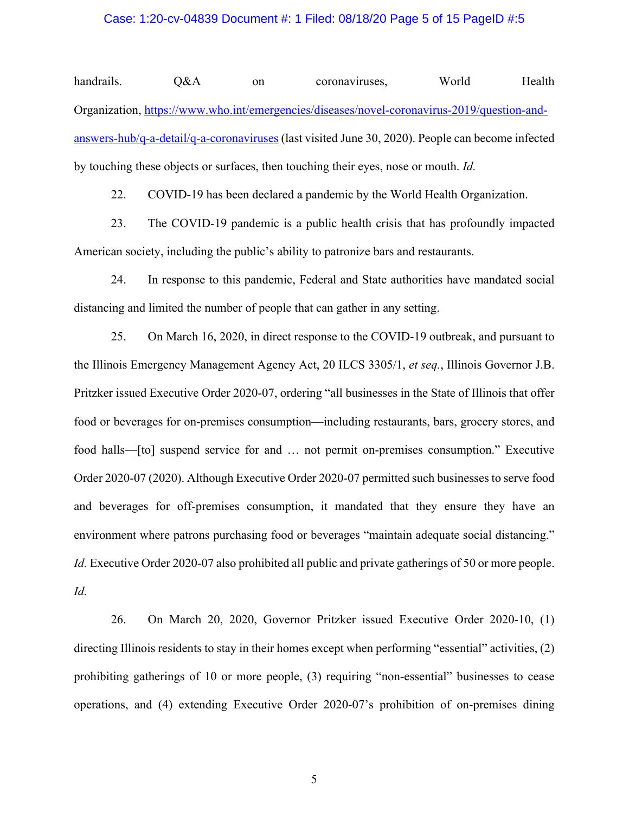#### Case: 1:20-cv-04839 Document #: 1 Filed: 08/18/20 Page 5 of 15 PageID #:5

handrails. O&A on coronaviruses, World Health Organization, https://www.who.int/emergencies/diseases/novel-coronavirus-2019/question-andanswers-hub/q-a-detail/q-a-coronaviruses (last visited June 30, 2020). People can become infected by touching these objects or surfaces, then touching their eyes, nose or mouth. *Id.* 

22. COVID-19 has been declared a pandemic by the World Health Organization.

23. The COVID-19 pandemic is a public health crisis that has profoundly impacted American society, including the public's ability to patronize bars and restaurants.

24. In response to this pandemic, Federal and State authorities have mandated social distancing and limited the number of people that can gather in any setting.

25. On March 16, 2020, in direct response to the COVID-19 outbreak, and pursuant to the Illinois Emergency Management Agency Act, 20 ILCS 3305/1, *et seq.*, Illinois Governor J.B. Pritzker issued Executive Order 2020-07, ordering "all businesses in the State of Illinois that offer food or beverages for on-premises consumption—including restaurants, bars, grocery stores, and food halls—[to] suspend service for and … not permit on-premises consumption." Executive Order 2020-07 (2020). Although Executive Order 2020-07 permitted such businesses to serve food and beverages for off-premises consumption, it mandated that they ensure they have an environment where patrons purchasing food or beverages "maintain adequate social distancing." *Id.* Executive Order 2020-07 also prohibited all public and private gatherings of 50 or more people. *Id.* 

26. On March 20, 2020, Governor Pritzker issued Executive Order 2020-10, (1) directing Illinois residents to stay in their homes except when performing "essential" activities, (2) prohibiting gatherings of 10 or more people, (3) requiring "non-essential" businesses to cease operations, and (4) extending Executive Order 2020-07's prohibition of on-premises dining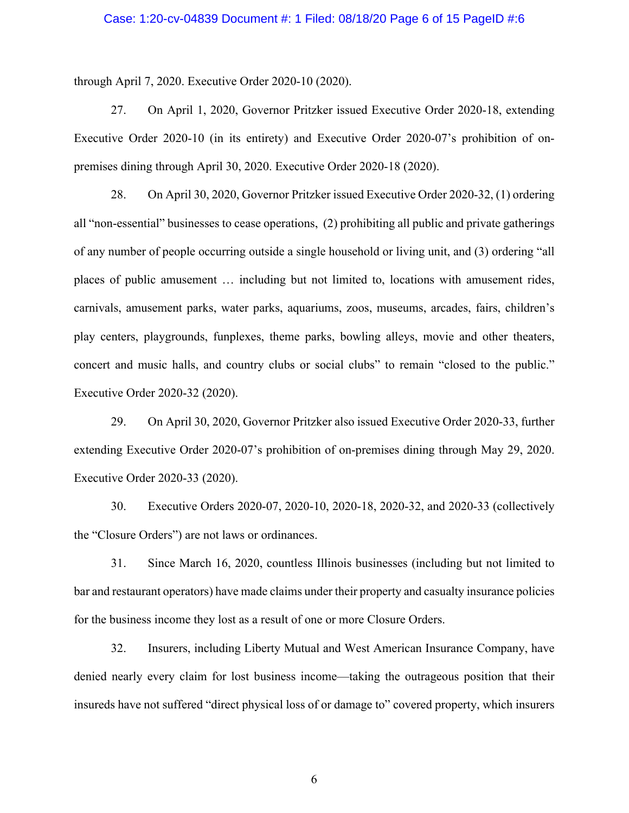#### Case: 1:20-cv-04839 Document #: 1 Filed: 08/18/20 Page 6 of 15 PageID #:6

through April 7, 2020. Executive Order 2020-10 (2020).

27. On April 1, 2020, Governor Pritzker issued Executive Order 2020-18, extending Executive Order 2020-10 (in its entirety) and Executive Order 2020-07's prohibition of onpremises dining through April 30, 2020. Executive Order 2020-18 (2020).

28. On April 30, 2020, Governor Pritzker issued Executive Order 2020-32, (1) ordering all "non-essential" businesses to cease operations, (2) prohibiting all public and private gatherings of any number of people occurring outside a single household or living unit, and (3) ordering "all places of public amusement … including but not limited to, locations with amusement rides, carnivals, amusement parks, water parks, aquariums, zoos, museums, arcades, fairs, children's play centers, playgrounds, funplexes, theme parks, bowling alleys, movie and other theaters, concert and music halls, and country clubs or social clubs" to remain "closed to the public." Executive Order 2020-32 (2020).

29. On April 30, 2020, Governor Pritzker also issued Executive Order 2020-33, further extending Executive Order 2020-07's prohibition of on-premises dining through May 29, 2020. Executive Order 2020-33 (2020).

30. Executive Orders 2020-07, 2020-10, 2020-18, 2020-32, and 2020-33 (collectively the "Closure Orders") are not laws or ordinances.

31. Since March 16, 2020, countless Illinois businesses (including but not limited to bar and restaurant operators) have made claims under their property and casualty insurance policies for the business income they lost as a result of one or more Closure Orders.

32. Insurers, including Liberty Mutual and West American Insurance Company, have denied nearly every claim for lost business income—taking the outrageous position that their insureds have not suffered "direct physical loss of or damage to" covered property, which insurers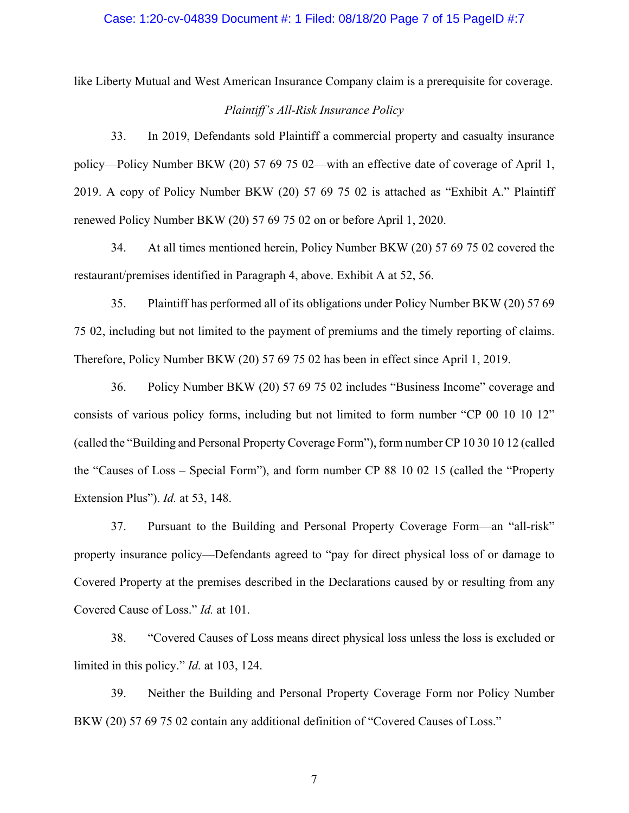#### Case: 1:20-cv-04839 Document #: 1 Filed: 08/18/20 Page 7 of 15 PageID #:7

like Liberty Mutual and West American Insurance Company claim is a prerequisite for coverage.

## *Plaintiff's All-Risk Insurance Policy*

33. In 2019, Defendants sold Plaintiff a commercial property and casualty insurance policy—Policy Number BKW (20) 57 69 75 02—with an effective date of coverage of April 1, 2019. A copy of Policy Number BKW (20) 57 69 75 02 is attached as "Exhibit A." Plaintiff renewed Policy Number BKW (20) 57 69 75 02 on or before April 1, 2020.

34. At all times mentioned herein, Policy Number BKW (20) 57 69 75 02 covered the restaurant/premises identified in Paragraph 4, above. Exhibit A at 52, 56.

35. Plaintiff has performed all of its obligations under Policy Number BKW (20) 57 69 75 02, including but not limited to the payment of premiums and the timely reporting of claims. Therefore, Policy Number BKW (20) 57 69 75 02 has been in effect since April 1, 2019.

36. Policy Number BKW (20) 57 69 75 02 includes "Business Income" coverage and consists of various policy forms, including but not limited to form number "CP 00 10 10 12" (called the "Building and Personal Property Coverage Form"), form number CP 10 30 10 12 (called the "Causes of Loss – Special Form"), and form number CP 88 10 02 15 (called the "Property Extension Plus"). *Id.* at 53, 148.

37. Pursuant to the Building and Personal Property Coverage Form—an "all-risk" property insurance policy—Defendants agreed to "pay for direct physical loss of or damage to Covered Property at the premises described in the Declarations caused by or resulting from any Covered Cause of Loss." *Id.* at 101.

38. "Covered Causes of Loss means direct physical loss unless the loss is excluded or limited in this policy." *Id.* at 103, 124.

39. Neither the Building and Personal Property Coverage Form nor Policy Number BKW (20) 57 69 75 02 contain any additional definition of "Covered Causes of Loss."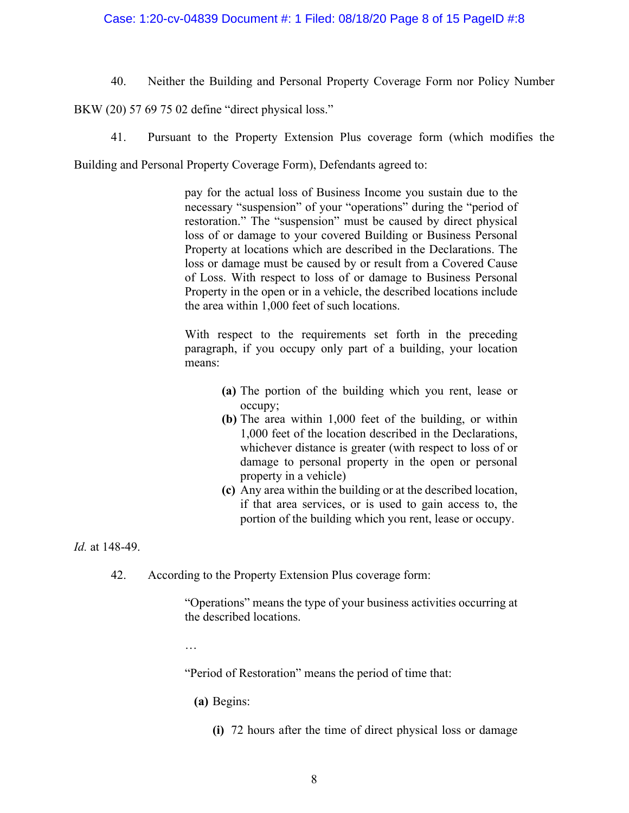### Case: 1:20-cv-04839 Document #: 1 Filed: 08/18/20 Page 8 of 15 PageID #:8

40. Neither the Building and Personal Property Coverage Form nor Policy Number

BKW (20) 57 69 75 02 define "direct physical loss."

41. Pursuant to the Property Extension Plus coverage form (which modifies the

Building and Personal Property Coverage Form), Defendants agreed to:

pay for the actual loss of Business Income you sustain due to the necessary "suspension" of your "operations" during the "period of restoration." The "suspension" must be caused by direct physical loss of or damage to your covered Building or Business Personal Property at locations which are described in the Declarations. The loss or damage must be caused by or result from a Covered Cause of Loss. With respect to loss of or damage to Business Personal Property in the open or in a vehicle, the described locations include the area within 1,000 feet of such locations.

With respect to the requirements set forth in the preceding paragraph, if you occupy only part of a building, your location means:

- **(a)** The portion of the building which you rent, lease or occupy;
- **(b)** The area within 1,000 feet of the building, or within 1,000 feet of the location described in the Declarations, whichever distance is greater (with respect to loss of or damage to personal property in the open or personal property in a vehicle)
- **(c)** Any area within the building or at the described location, if that area services, or is used to gain access to, the portion of the building which you rent, lease or occupy.

*Id.* at 148-49.

42. According to the Property Extension Plus coverage form:

"Operations" means the type of your business activities occurring at the described locations.

…

"Period of Restoration" means the period of time that:

**(a)** Begins:

**(i)** 72 hours after the time of direct physical loss or damage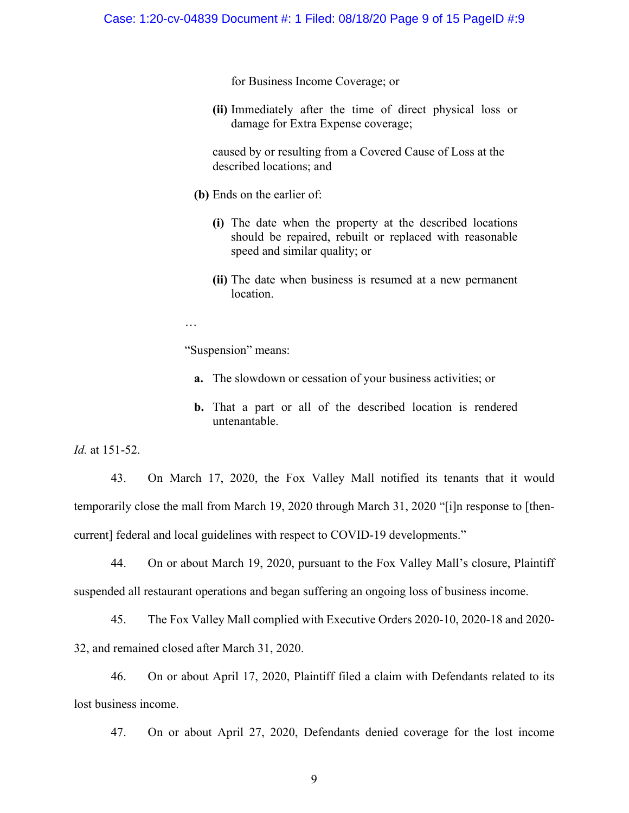for Business Income Coverage; or

**(ii)** Immediately after the time of direct physical loss or damage for Extra Expense coverage;

caused by or resulting from a Covered Cause of Loss at the described locations; and

- **(b)** Ends on the earlier of:
	- **(i)** The date when the property at the described locations should be repaired, rebuilt or replaced with reasonable speed and similar quality; or
	- **(ii)** The date when business is resumed at a new permanent location.

…

"Suspension" means:

- **a.** The slowdown or cessation of your business activities; or
- **b.** That a part or all of the described location is rendered untenantable.

*Id.* at 151-52.

43. On March 17, 2020, the Fox Valley Mall notified its tenants that it would temporarily close the mall from March 19, 2020 through March 31, 2020 "[i]n response to [thencurrent] federal and local guidelines with respect to COVID-19 developments."

44. On or about March 19, 2020, pursuant to the Fox Valley Mall's closure, Plaintiff suspended all restaurant operations and began suffering an ongoing loss of business income.

45. The Fox Valley Mall complied with Executive Orders 2020-10, 2020-18 and 2020- 32, and remained closed after March 31, 2020.

46. On or about April 17, 2020, Plaintiff filed a claim with Defendants related to its lost business income.

47. On or about April 27, 2020, Defendants denied coverage for the lost income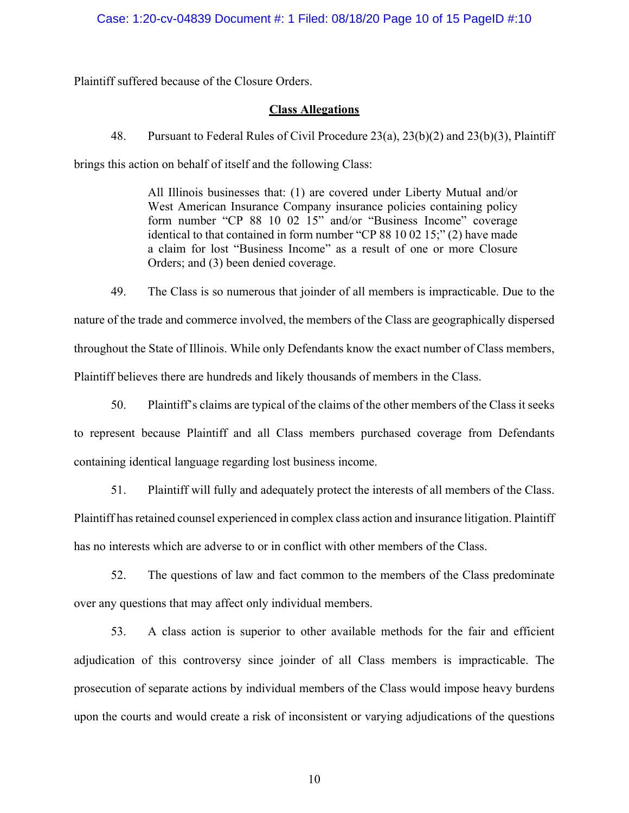Plaintiff suffered because of the Closure Orders.

### **Class Allegations**

### 48. Pursuant to Federal Rules of Civil Procedure 23(a), 23(b)(2) and 23(b)(3), Plaintiff

brings this action on behalf of itself and the following Class:

All Illinois businesses that: (1) are covered under Liberty Mutual and/or West American Insurance Company insurance policies containing policy form number "CP 88 10 02 15" and/or "Business Income" coverage identical to that contained in form number "CP 88 10 02 15;" (2) have made a claim for lost "Business Income" as a result of one or more Closure Orders; and (3) been denied coverage.

49. The Class is so numerous that joinder of all members is impracticable. Due to the nature of the trade and commerce involved, the members of the Class are geographically dispersed throughout the State of Illinois. While only Defendants know the exact number of Class members, Plaintiff believes there are hundreds and likely thousands of members in the Class.

50. Plaintiff's claims are typical of the claims of the other members of the Class it seeks to represent because Plaintiff and all Class members purchased coverage from Defendants containing identical language regarding lost business income.

51. Plaintiff will fully and adequately protect the interests of all members of the Class. Plaintiff has retained counsel experienced in complex class action and insurance litigation. Plaintiff has no interests which are adverse to or in conflict with other members of the Class.

52. The questions of law and fact common to the members of the Class predominate over any questions that may affect only individual members.

53. A class action is superior to other available methods for the fair and efficient adjudication of this controversy since joinder of all Class members is impracticable. The prosecution of separate actions by individual members of the Class would impose heavy burdens upon the courts and would create a risk of inconsistent or varying adjudications of the questions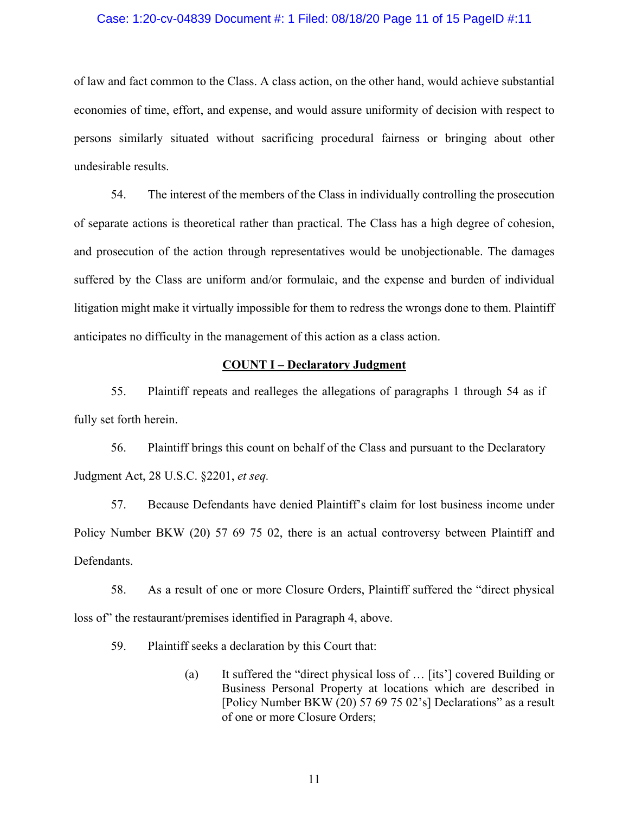#### Case: 1:20-cv-04839 Document #: 1 Filed: 08/18/20 Page 11 of 15 PageID #:11

of law and fact common to the Class. A class action, on the other hand, would achieve substantial economies of time, effort, and expense, and would assure uniformity of decision with respect to persons similarly situated without sacrificing procedural fairness or bringing about other undesirable results.

54. The interest of the members of the Class in individually controlling the prosecution of separate actions is theoretical rather than practical. The Class has a high degree of cohesion, and prosecution of the action through representatives would be unobjectionable. The damages suffered by the Class are uniform and/or formulaic, and the expense and burden of individual litigation might make it virtually impossible for them to redress the wrongs done to them. Plaintiff anticipates no difficulty in the management of this action as a class action.

### **COUNT I – Declaratory Judgment**

55. Plaintiff repeats and realleges the allegations of paragraphs 1 through 54 as if fully set forth herein.

56. Plaintiff brings this count on behalf of the Class and pursuant to the Declaratory Judgment Act, 28 U.S.C. §2201, *et seq.*

57. Because Defendants have denied Plaintiff's claim for lost business income under Policy Number BKW (20) 57 69 75 02, there is an actual controversy between Plaintiff and Defendants.

58. As a result of one or more Closure Orders, Plaintiff suffered the "direct physical loss of the restaurant/premises identified in Paragraph 4, above.

59. Plaintiff seeks a declaration by this Court that:

(a) It suffered the "direct physical loss of … [its'] covered Building or Business Personal Property at locations which are described in [Policy Number BKW (20) 57 69 75 02's] Declarations" as a result of one or more Closure Orders;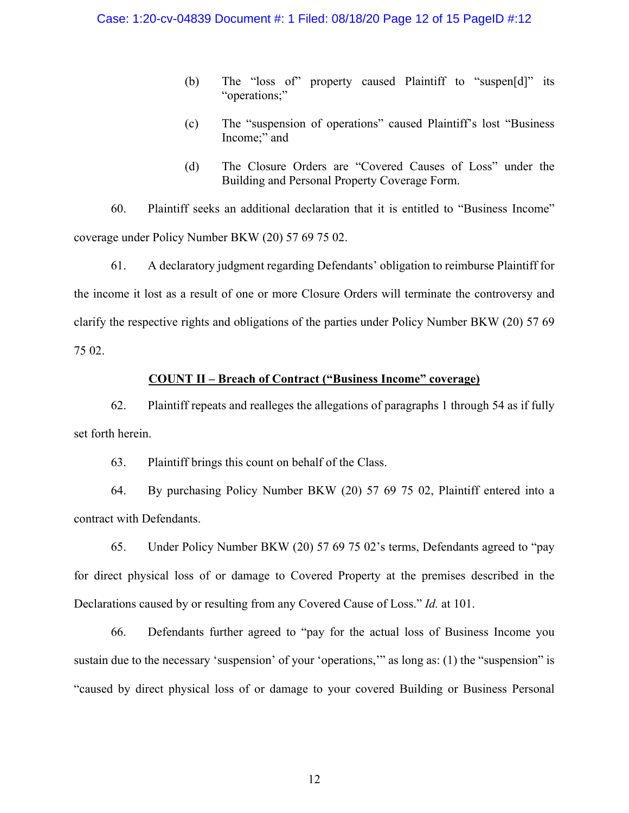- (b) The "loss of" property caused Plaintiff to "suspen[d]" its "operations;"
- (c) The "suspension of operations" caused Plaintiff's lost "Business Income;" and
- (d) The Closure Orders are "Covered Causes of Loss" under the Building and Personal Property Coverage Form.

60. Plaintiff seeks an additional declaration that it is entitled to "Business Income" coverage under Policy Number BKW (20) 57 69 75 02.

61. A declaratory judgment regarding Defendants' obligation to reimburse Plaintiff for the income it lost as a result of one or more Closure Orders will terminate the controversy and clarify the respective rights and obligations of the parties under Policy Number BKW (20) 57 69 75 02.

### **COUNT II – Breach of Contract ("Business Income" coverage)**

62. Plaintiff repeats and realleges the allegations of paragraphs 1 through 54 as if fully set forth herein.

63. Plaintiff brings this count on behalf of the Class.

64. By purchasing Policy Number BKW (20) 57 69 75 02, Plaintiff entered into a contract with Defendants.

65. Under Policy Number BKW (20) 57 69 75 02's terms, Defendants agreed to "pay for direct physical loss of or damage to Covered Property at the premises described in the Declarations caused by or resulting from any Covered Cause of Loss." *Id.* at 101.

66. Defendants further agreed to "pay for the actual loss of Business Income you sustain due to the necessary 'suspension' of your 'operations," as long as: (1) the "suspension" is "caused by direct physical loss of or damage to your covered Building or Business Personal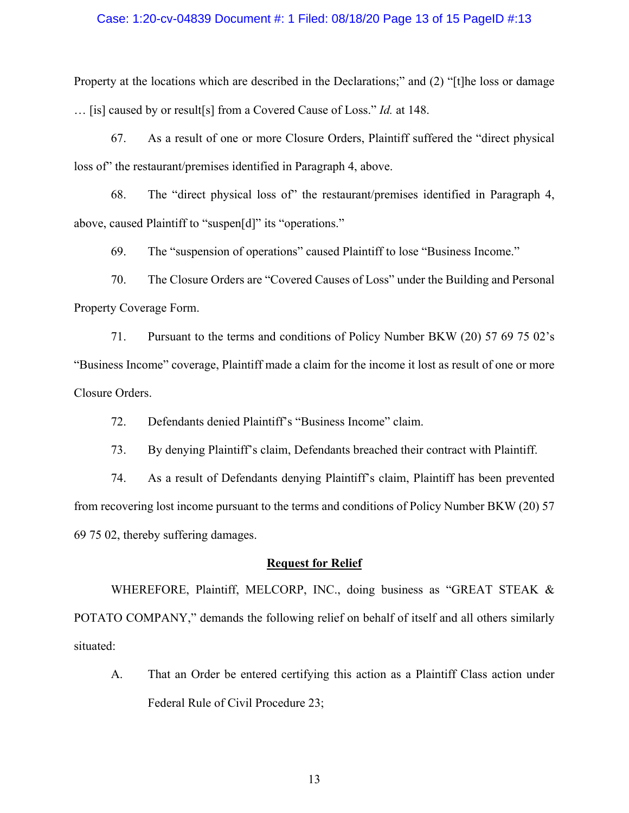#### Case: 1:20-cv-04839 Document #: 1 Filed: 08/18/20 Page 13 of 15 PageID #:13

Property at the locations which are described in the Declarations;" and (2) "[t]he loss or damage … [is] caused by or result[s] from a Covered Cause of Loss." *Id.* at 148.

67. As a result of one or more Closure Orders, Plaintiff suffered the "direct physical loss of the restaurant/premises identified in Paragraph 4, above.

68. The "direct physical loss of" the restaurant/premises identified in Paragraph 4, above, caused Plaintiff to "suspen[d]" its "operations."

69. The "suspension of operations" caused Plaintiff to lose "Business Income."

70. The Closure Orders are "Covered Causes of Loss" under the Building and Personal Property Coverage Form.

71. Pursuant to the terms and conditions of Policy Number BKW (20) 57 69 75 02's "Business Income" coverage, Plaintiff made a claim for the income it lost as result of one or more Closure Orders.

72. Defendants denied Plaintiff's "Business Income" claim.

73. By denying Plaintiff's claim, Defendants breached their contract with Plaintiff.

74. As a result of Defendants denying Plaintiff's claim, Plaintiff has been prevented from recovering lost income pursuant to the terms and conditions of Policy Number BKW (20) 57 69 75 02, thereby suffering damages.

#### **Request for Relief**

WHEREFORE, Plaintiff, MELCORP, INC., doing business as "GREAT STEAK & POTATO COMPANY," demands the following relief on behalf of itself and all others similarly situated:

A. That an Order be entered certifying this action as a Plaintiff Class action under Federal Rule of Civil Procedure 23;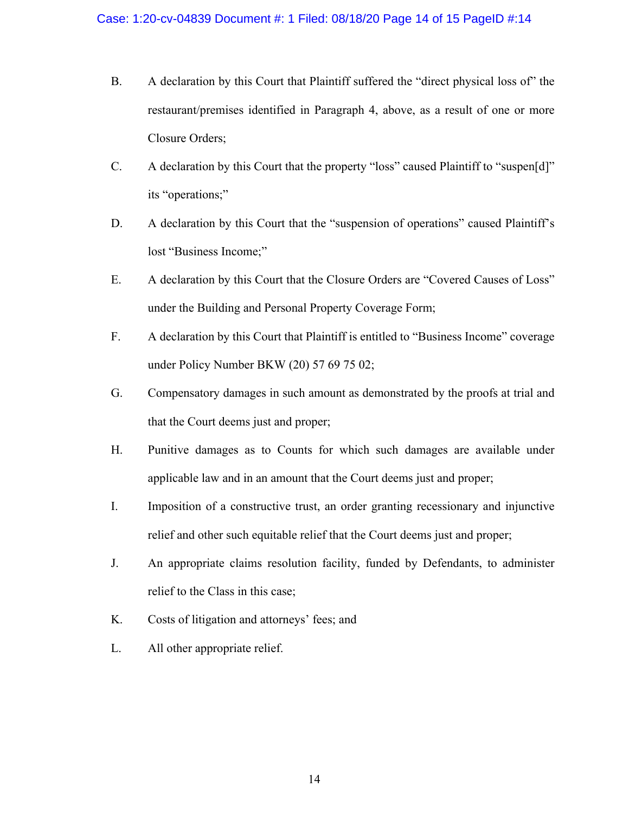- B. A declaration by this Court that Plaintiff suffered the "direct physical loss of" the restaurant/premises identified in Paragraph 4, above, as a result of one or more Closure Orders;
- C. A declaration by this Court that the property "loss" caused Plaintiff to "suspen[d]" its "operations;"
- D. A declaration by this Court that the "suspension of operations" caused Plaintiff's lost "Business Income;"
- E. A declaration by this Court that the Closure Orders are "Covered Causes of Loss" under the Building and Personal Property Coverage Form;
- F. A declaration by this Court that Plaintiff is entitled to "Business Income" coverage under Policy Number BKW (20) 57 69 75 02;
- G. Compensatory damages in such amount as demonstrated by the proofs at trial and that the Court deems just and proper;
- H. Punitive damages as to Counts for which such damages are available under applicable law and in an amount that the Court deems just and proper;
- I. Imposition of a constructive trust, an order granting recessionary and injunctive relief and other such equitable relief that the Court deems just and proper;
- J. An appropriate claims resolution facility, funded by Defendants, to administer relief to the Class in this case;
- K. Costs of litigation and attorneys' fees; and
- L. All other appropriate relief.